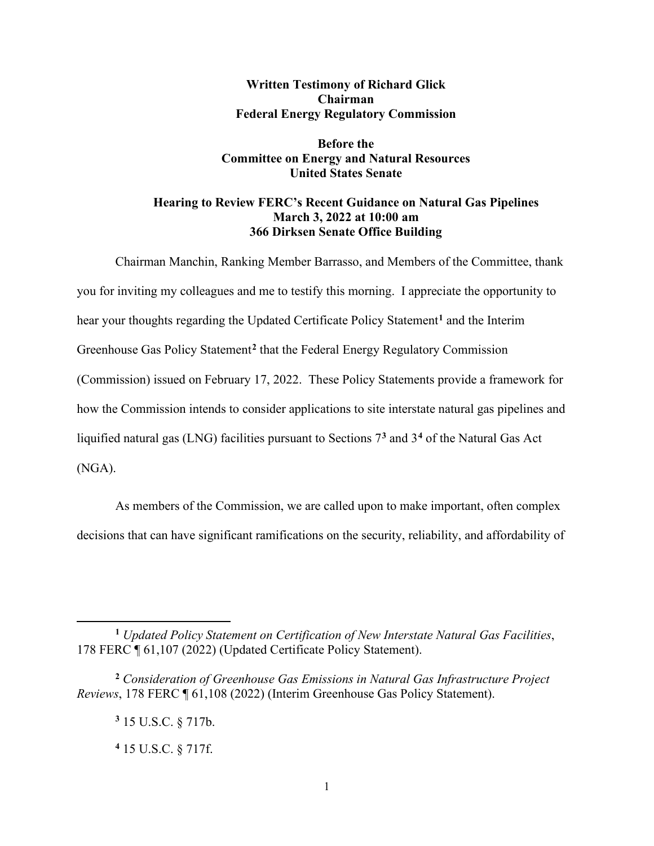## **Written Testimony of Richard Glick Chairman Federal Energy Regulatory Commission**

## **Before the Committee on Energy and Natural Resources United States Senate**

## **Hearing to Review FERC's Recent Guidance on Natural Gas Pipelines March 3, 2022 at 10:00 am 366 Dirksen Senate Office Building**

Chairman Manchin, Ranking Member Barrasso, and Members of the Committee, thank you for inviting my colleagues and me to testify this morning. I appreciate the opportunity to hear your thoughts regarding the Updated Certificate Policy Statement**[1](#page-0-0)** and the Interim Greenhouse Gas Policy Statement**[2](#page-0-1)** that the Federal Energy Regulatory Commission (Commission) issued on February 17, 2022. These Policy Statements provide a framework for how the Commission intends to consider applications to site interstate natural gas pipelines and liquified natural gas (LNG) facilities pursuant to Sections 7**[3](#page-0-2)** and 3**[4](#page-0-3)** of the Natural Gas Act (NGA).

As members of the Commission, we are called upon to make important, often complex decisions that can have significant ramifications on the security, reliability, and affordability of

<span id="page-0-0"></span>**<sup>1</sup>** *Updated Policy Statement on Certification of New Interstate Natural Gas Facilities*, 178 FERC ¶ 61,107 (2022) (Updated Certificate Policy Statement).

<span id="page-0-3"></span><span id="page-0-2"></span><span id="page-0-1"></span>**<sup>2</sup>** *Consideration of Greenhouse Gas Emissions in Natural Gas Infrastructure Project Reviews*, 178 FERC ¶ 61,108 (2022) (Interim Greenhouse Gas Policy Statement).

**<sup>3</sup>** 15 U.S.C. § 717b.

**<sup>4</sup>** 15 U.S.C. § 717f.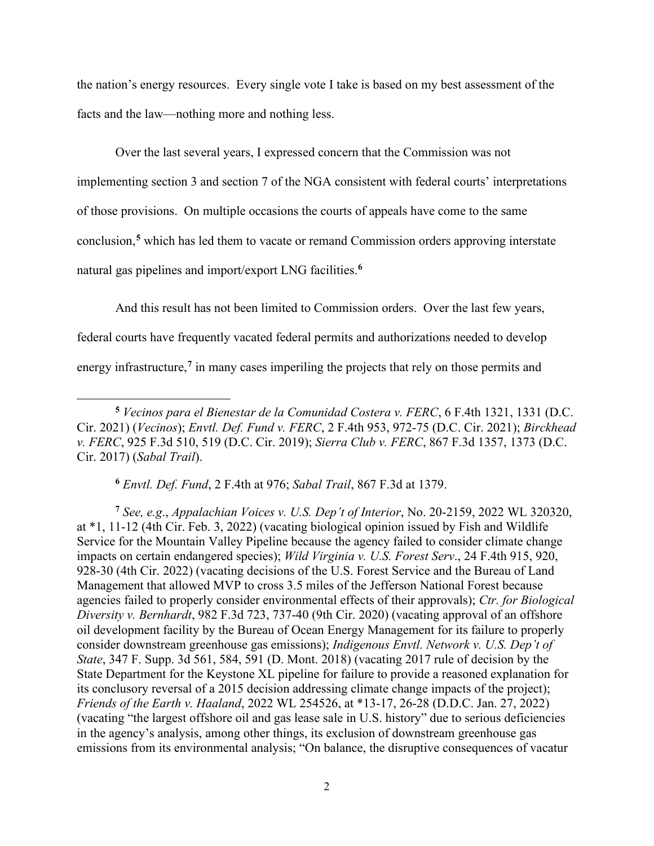the nation's energy resources. Every single vote I take is based on my best assessment of the facts and the law—nothing more and nothing less.

Over the last several years, I expressed concern that the Commission was not implementing section 3 and section 7 of the NGA consistent with federal courts' interpretations of those provisions. On multiple occasions the courts of appeals have come to the same conclusion, **[5](#page-1-0)** which has led them to vacate or remand Commission orders approving interstate natural gas pipelines and import/export LNG facilities. **[6](#page-1-1)**

And this result has not been limited to Commission orders. Over the last few years, federal courts have frequently vacated federal permits and authorizations needed to develop energy infrastructure,<sup>[7](#page-1-2)</sup> in many cases imperiling the projects that rely on those permits and

**<sup>6</sup>** *Envtl. Def. Fund*, 2 F.4th at 976; *Sabal Trail*, 867 F.3d at 1379.

<span id="page-1-2"></span><span id="page-1-1"></span>**<sup>7</sup>** *See, e.g*., *Appalachian Voices v. U.S. Dep't of Interior*, No. 20-2159, 2022 WL 320320, at \*1, 11-12 (4th Cir. Feb. 3, 2022) (vacating biological opinion issued by Fish and Wildlife Service for the Mountain Valley Pipeline because the agency failed to consider climate change impacts on certain endangered species); *Wild Virginia v. U.S. Forest Serv*., 24 F.4th 915, 920, 928-30 (4th Cir. 2022) (vacating decisions of the U.S. Forest Service and the Bureau of Land Management that allowed MVP to cross 3.5 miles of the Jefferson National Forest because agencies failed to properly consider environmental effects of their approvals); *Ctr. for Biological Diversity v. Bernhardt*, 982 F.3d 723, 737-40 (9th Cir. 2020) (vacating approval of an offshore oil development facility by the Bureau of Ocean Energy Management for its failure to properly consider downstream greenhouse gas emissions); *Indigenous Envtl. Network v. U.S. Dep't of State*, 347 F. Supp. 3d 561, 584, 591 (D. Mont. 2018) (vacating 2017 rule of decision by the State Department for the Keystone XL pipeline for failure to provide a reasoned explanation for its conclusory reversal of a 2015 decision addressing climate change impacts of the project); *Friends of the Earth v. Haaland*, 2022 WL 254526, at \*13-17, 26-28 (D.D.C. Jan. 27, 2022) (vacating "the largest offshore oil and gas lease sale in U.S. history" due to serious deficiencies in the agency's analysis, among other things, its exclusion of downstream greenhouse gas emissions from its environmental analysis; "On balance, the disruptive consequences of vacatur

<span id="page-1-0"></span>**<sup>5</sup>** *Vecinos para el Bienestar de la Comunidad Costera v. FERC*, 6 F.4th 1321, 1331 (D.C. Cir. 2021) (*Vecinos*); *Envtl. Def. Fund v. FERC*, 2 F.4th 953, 972-75 (D.C. Cir. 2021); *Birckhead v. FERC*, 925 F.3d 510, 519 (D.C. Cir. 2019); *Sierra Club v. FERC*, 867 F.3d 1357, 1373 (D.C. Cir. 2017) (*Sabal Trail*).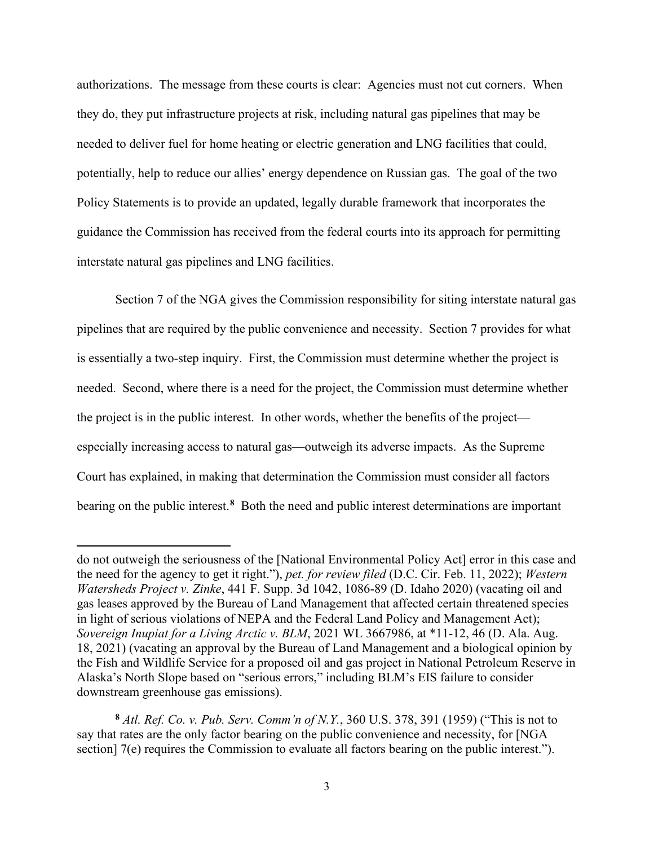authorizations. The message from these courts is clear: Agencies must not cut corners. When they do, they put infrastructure projects at risk, including natural gas pipelines that may be needed to deliver fuel for home heating or electric generation and LNG facilities that could, potentially, help to reduce our allies' energy dependence on Russian gas. The goal of the two Policy Statements is to provide an updated, legally durable framework that incorporates the guidance the Commission has received from the federal courts into its approach for permitting interstate natural gas pipelines and LNG facilities.

Section 7 of the NGA gives the Commission responsibility for siting interstate natural gas pipelines that are required by the public convenience and necessity. Section 7 provides for what is essentially a two-step inquiry. First, the Commission must determine whether the project is needed. Second, where there is a need for the project, the Commission must determine whether the project is in the public interest. In other words, whether the benefits of the project especially increasing access to natural gas—outweigh its adverse impacts. As the Supreme Court has explained, in making that determination the Commission must consider all factors bearing on the public interest. **[8](#page-2-0)** Both the need and public interest determinations are important

do not outweigh the seriousness of the [National Environmental Policy Act] error in this case and the need for the agency to get it right."), *pet. for review filed* (D.C. Cir. Feb. 11, 2022); *Western Watersheds Project v. Zinke*, 441 F. Supp. 3d 1042, 1086-89 (D. Idaho 2020) (vacating oil and gas leases approved by the Bureau of Land Management that affected certain threatened species in light of serious violations of NEPA and the Federal Land Policy and Management Act); *Sovereign Inupiat for a Living Arctic v. BLM*, 2021 WL 3667986, at \*11-12, 46 (D. Ala. Aug. 18, 2021) (vacating an approval by the Bureau of Land Management and a biological opinion by the Fish and Wildlife Service for a proposed oil and gas project in National Petroleum Reserve in Alaska's North Slope based on "serious errors," including BLM's EIS failure to consider downstream greenhouse gas emissions).

<span id="page-2-0"></span>**<sup>8</sup>** *Atl. Ref. Co. v. Pub. Serv. Comm'n of N.Y.*, 360 U.S. 378, 391 (1959) ("This is not to say that rates are the only factor bearing on the public convenience and necessity, for [NGA section] 7(e) requires the Commission to evaluate all factors bearing on the public interest.").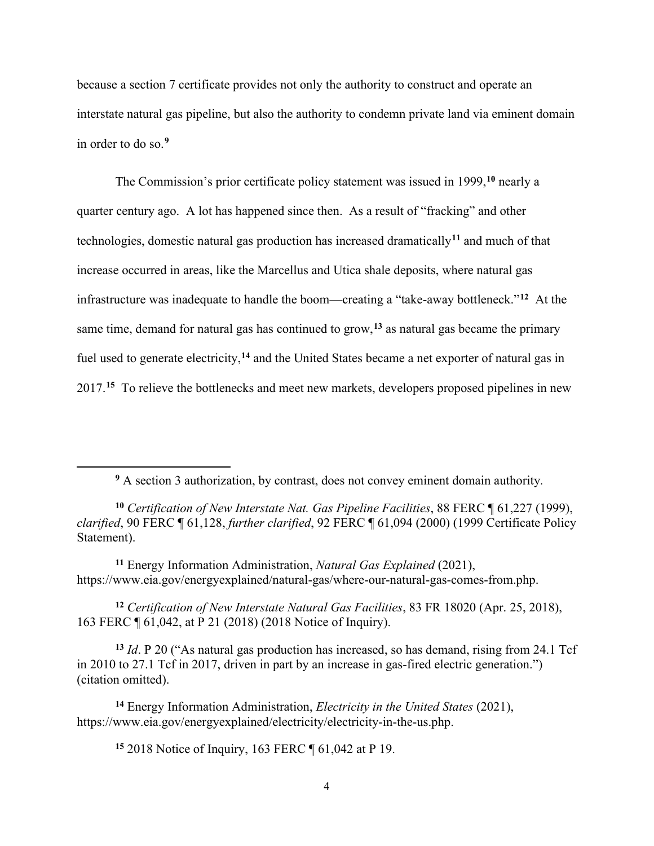because a section 7 certificate provides not only the authority to construct and operate an interstate natural gas pipeline, but also the authority to condemn private land via eminent domain in order to do so.**[9](#page-3-0)**

The Commission's prior certificate policy statement was issued in 1999, **[10](#page-3-1)** nearly a quarter century ago. A lot has happened since then. As a result of "fracking" and other technologies, domestic natural gas production has increased dramatically**[11](#page-3-2)** and much of that increase occurred in areas, like the Marcellus and Utica shale deposits, where natural gas infrastructure was inadequate to handle the boom—creating a "take-away bottleneck."**[12](#page-3-3)** At the same time, demand for natural gas has continued to grow,**[13](#page-3-4)** as natural gas became the primary fuel used to generate electricity,**[14](#page-3-5)** and the United States became a net exporter of natural gas in 2017.**[15](#page-3-6)** To relieve the bottlenecks and meet new markets, developers proposed pipelines in new

**<sup>9</sup>** A section 3 authorization, by contrast, does not convey eminent domain authority.

<span id="page-3-1"></span><span id="page-3-0"></span>**<sup>10</sup>** *Certification of New Interstate Nat. Gas Pipeline Facilities*, 88 FERC ¶ 61,227 (1999), *clarified*, 90 FERC ¶ 61,128, *further clarified*, 92 FERC ¶ 61,094 (2000) (1999 Certificate Policy Statement).

<span id="page-3-2"></span>**<sup>11</sup>** Energy Information Administration, *Natural Gas Explained* (2021), https://www.eia.gov/energyexplained/natural-gas/where-our-natural-gas-comes-from.php.

<span id="page-3-3"></span>**<sup>12</sup>** *Certification of New Interstate Natural Gas Facilities*, 83 FR 18020 (Apr. 25, 2018), 163 FERC ¶ 61,042, at P 21 (2018) (2018 Notice of Inquiry).

<span id="page-3-4"></span>**<sup>13</sup>** *Id*. P 20 ("As natural gas production has increased, so has demand, rising from 24.1 Tcf in 2010 to 27.1 Tcf in 2017, driven in part by an increase in gas-fired electric generation.") (citation omitted).

<span id="page-3-6"></span><span id="page-3-5"></span>**<sup>14</sup>** Energy Information Administration, *Electricity in the United States* (2021), https://www.eia.gov/energyexplained/electricity/electricity-in-the-us.php.

**<sup>15</sup>** 2018 Notice of Inquiry, 163 FERC ¶ 61,042 at P 19.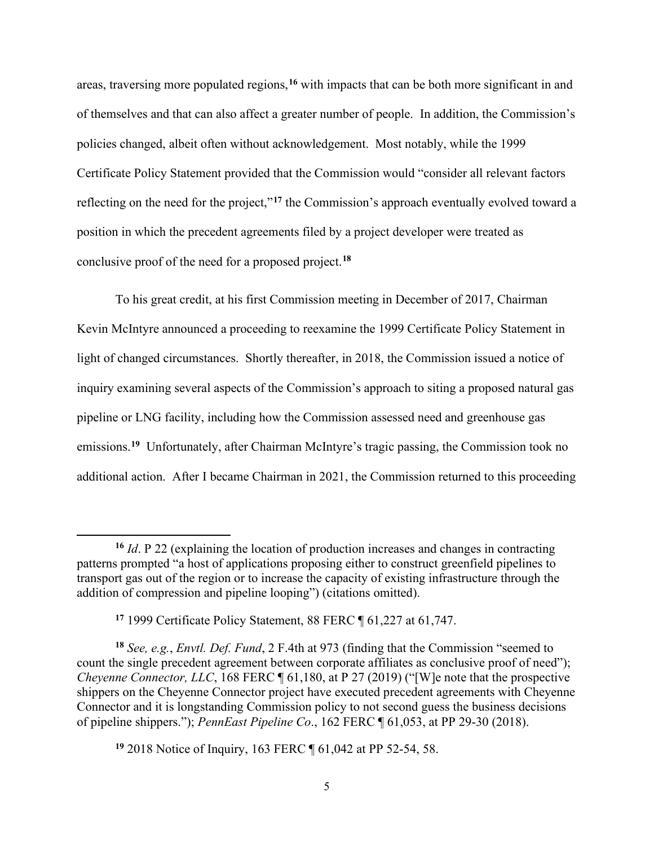areas, traversing more populated regions,**[16](#page-4-0)** with impacts that can be both more significant in and of themselves and that can also affect a greater number of people. In addition, the Commission's policies changed, albeit often without acknowledgement. Most notably, while the 1999 Certificate Policy Statement provided that the Commission would "consider all relevant factors reflecting on the need for the project,"**[17](#page-4-1)** the Commission's approach eventually evolved toward a position in which the precedent agreements filed by a project developer were treated as conclusive proof of the need for a proposed project.**[18](#page-4-2)**

To his great credit, at his first Commission meeting in December of 2017, Chairman Kevin McIntyre announced a proceeding to reexamine the 1999 Certificate Policy Statement in light of changed circumstances. Shortly thereafter, in 2018, the Commission issued a notice of inquiry examining several aspects of the Commission's approach to siting a proposed natural gas pipeline or LNG facility, including how the Commission assessed need and greenhouse gas emissions.<sup>[19](#page-4-3)</sup> Unfortunately, after Chairman McIntyre's tragic passing, the Commission took no additional action. After I became Chairman in 2021, the Commission returned to this proceeding

<span id="page-4-0"></span>**<sup>16</sup>** *Id*. P 22 (explaining the location of production increases and changes in contracting patterns prompted "a host of applications proposing either to construct greenfield pipelines to transport gas out of the region or to increase the capacity of existing infrastructure through the addition of compression and pipeline looping") (citations omitted).

**<sup>17</sup>** 1999 Certificate Policy Statement, 88 FERC ¶ 61,227 at 61,747.

<span id="page-4-2"></span><span id="page-4-1"></span>**<sup>18</sup>** *See, e.g.*, *Envtl. Def. Fund*, 2 F.4th at 973 (finding that the Commission "seemed to count the single precedent agreement between corporate affiliates as conclusive proof of need"); *Cheyenne Connector, LLC, 168 FERC* 161,180, at P 27 (2019) ("[W]e note that the prospective shippers on the Cheyenne Connector project have executed precedent agreements with Cheyenne Connector and it is longstanding Commission policy to not second guess the business decisions of pipeline shippers."); *PennEast Pipeline Co*., 162 FERC ¶ 61,053, at PP 29-30 (2018).

<span id="page-4-3"></span>**<sup>19</sup>** 2018 Notice of Inquiry, 163 FERC ¶ 61,042 at PP 52-54, 58.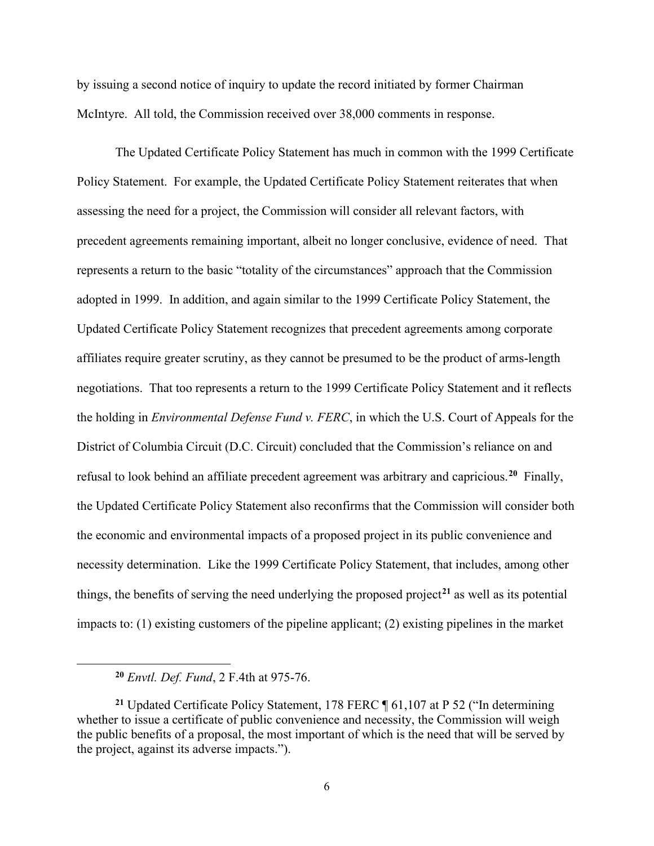by issuing a second notice of inquiry to update the record initiated by former Chairman McIntyre. All told, the Commission received over 38,000 comments in response.

The Updated Certificate Policy Statement has much in common with the 1999 Certificate Policy Statement. For example, the Updated Certificate Policy Statement reiterates that when assessing the need for a project, the Commission will consider all relevant factors, with precedent agreements remaining important, albeit no longer conclusive, evidence of need. That represents a return to the basic "totality of the circumstances" approach that the Commission adopted in 1999. In addition, and again similar to the 1999 Certificate Policy Statement, the Updated Certificate Policy Statement recognizes that precedent agreements among corporate affiliates require greater scrutiny, as they cannot be presumed to be the product of arms-length negotiations. That too represents a return to the 1999 Certificate Policy Statement and it reflects the holding in *Environmental Defense Fund v. FERC*, in which the U.S. Court of Appeals for the District of Columbia Circuit (D.C. Circuit) concluded that the Commission's reliance on and refusal to look behind an affiliate precedent agreement was arbitrary and capricious.**[20](#page-5-0)** Finally, the Updated Certificate Policy Statement also reconfirms that the Commission will consider both the economic and environmental impacts of a proposed project in its public convenience and necessity determination. Like the 1999 Certificate Policy Statement, that includes, among other things, the benefits of serving the need underlying the proposed project**[21](#page-5-1)** as well as its potential impacts to: (1) existing customers of the pipeline applicant; (2) existing pipelines in the market

**<sup>20</sup>** *Envtl. Def. Fund*, 2 F.4th at 975-76.

<span id="page-5-1"></span><span id="page-5-0"></span>**<sup>21</sup>** Updated Certificate Policy Statement, 178 FERC ¶ 61,107 at P 52 ("In determining whether to issue a certificate of public convenience and necessity, the Commission will weigh the public benefits of a proposal, the most important of which is the need that will be served by the project, against its adverse impacts.").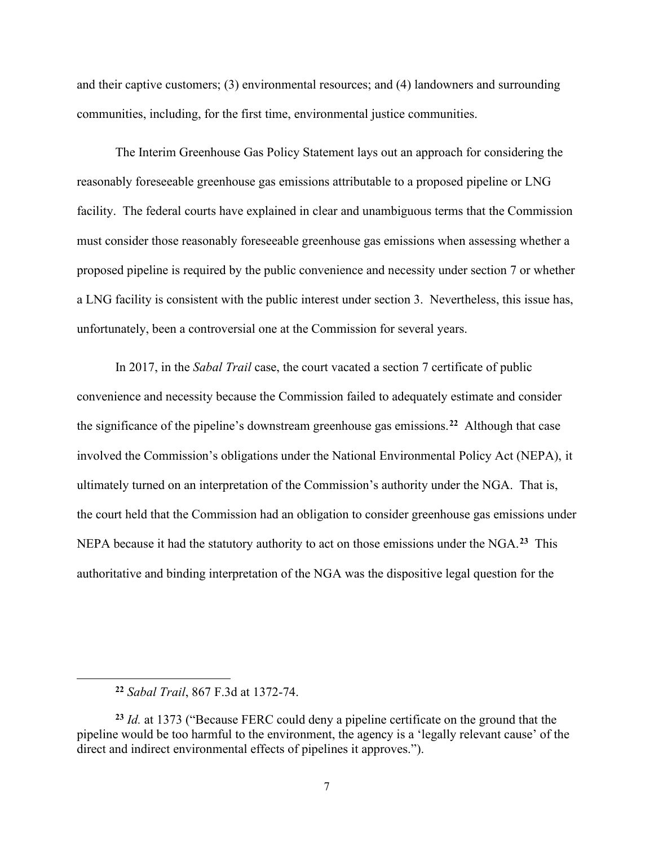and their captive customers; (3) environmental resources; and (4) landowners and surrounding communities, including, for the first time, environmental justice communities.

The Interim Greenhouse Gas Policy Statement lays out an approach for considering the reasonably foreseeable greenhouse gas emissions attributable to a proposed pipeline or LNG facility. The federal courts have explained in clear and unambiguous terms that the Commission must consider those reasonably foreseeable greenhouse gas emissions when assessing whether a proposed pipeline is required by the public convenience and necessity under section 7 or whether a LNG facility is consistent with the public interest under section 3. Nevertheless, this issue has, unfortunately, been a controversial one at the Commission for several years.

In 2017, in the *Sabal Trail* case, the court vacated a section 7 certificate of public convenience and necessity because the Commission failed to adequately estimate and consider the significance of the pipeline's downstream greenhouse gas emissions.**[22](#page-6-0)** Although that case involved the Commission's obligations under the National Environmental Policy Act (NEPA), it ultimately turned on an interpretation of the Commission's authority under the NGA. That is, the court held that the Commission had an obligation to consider greenhouse gas emissions under NEPA because it had the statutory authority to act on those emissions under the NGA.**[23](#page-6-1)** This authoritative and binding interpretation of the NGA was the dispositive legal question for the

**<sup>22</sup>** *Sabal Trail*, 867 F.3d at 1372-74.

<span id="page-6-1"></span><span id="page-6-0"></span>**<sup>23</sup>** *Id.* at 1373 ("Because FERC could deny a pipeline certificate on the ground that the pipeline would be too harmful to the environment, the agency is a 'legally relevant cause' of the direct and indirect environmental effects of pipelines it approves.").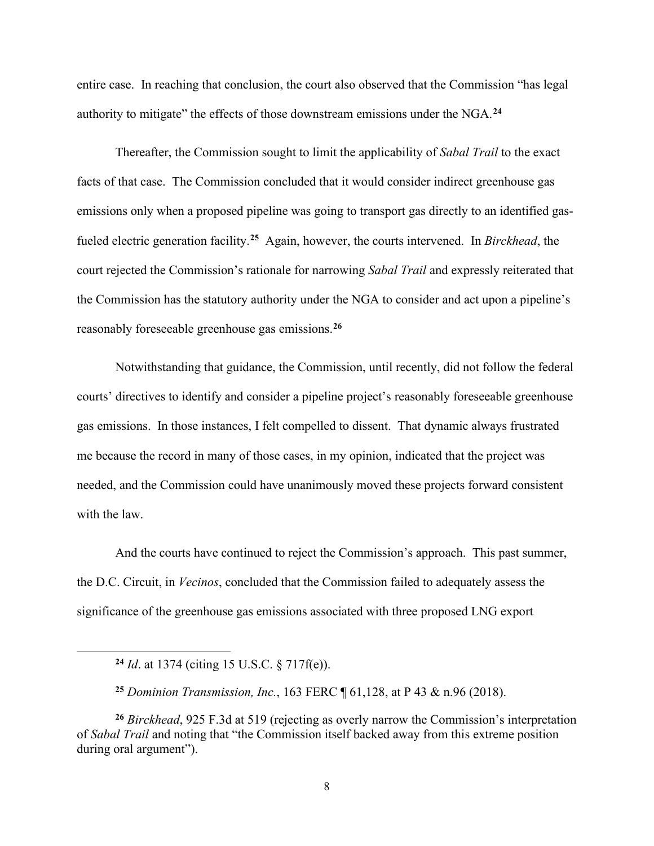entire case. In reaching that conclusion, the court also observed that the Commission "has legal authority to mitigate" the effects of those downstream emissions under the NGA. **[24](#page-7-0)**

Thereafter, the Commission sought to limit the applicability of *Sabal Trail* to the exact facts of that case. The Commission concluded that it would consider indirect greenhouse gas emissions only when a proposed pipeline was going to transport gas directly to an identified gasfueled electric generation facility. **[25](#page-7-1)** Again, however, the courts intervened. In *Birckhead*, the court rejected the Commission's rationale for narrowing *Sabal Trail* and expressly reiterated that the Commission has the statutory authority under the NGA to consider and act upon a pipeline's reasonably foreseeable greenhouse gas emissions. **[26](#page-7-2)**

Notwithstanding that guidance, the Commission, until recently, did not follow the federal courts' directives to identify and consider a pipeline project's reasonably foreseeable greenhouse gas emissions. In those instances, I felt compelled to dissent. That dynamic always frustrated me because the record in many of those cases, in my opinion, indicated that the project was needed, and the Commission could have unanimously moved these projects forward consistent with the law.

And the courts have continued to reject the Commission's approach. This past summer, the D.C. Circuit, in *Vecinos*, concluded that the Commission failed to adequately assess the significance of the greenhouse gas emissions associated with three proposed LNG export

**<sup>24</sup>** *Id*. at 1374 (citing 15 U.S.C. § 717f(e)).

**<sup>25</sup>** *Dominion Transmission, Inc.*, 163 FERC ¶ 61,128, at P 43 & n.96 (2018).

<span id="page-7-2"></span><span id="page-7-1"></span><span id="page-7-0"></span>**<sup>26</sup>** *Birckhead*, 925 F.3d at 519 (rejecting as overly narrow the Commission's interpretation of *Sabal Trail* and noting that "the Commission itself backed away from this extreme position during oral argument").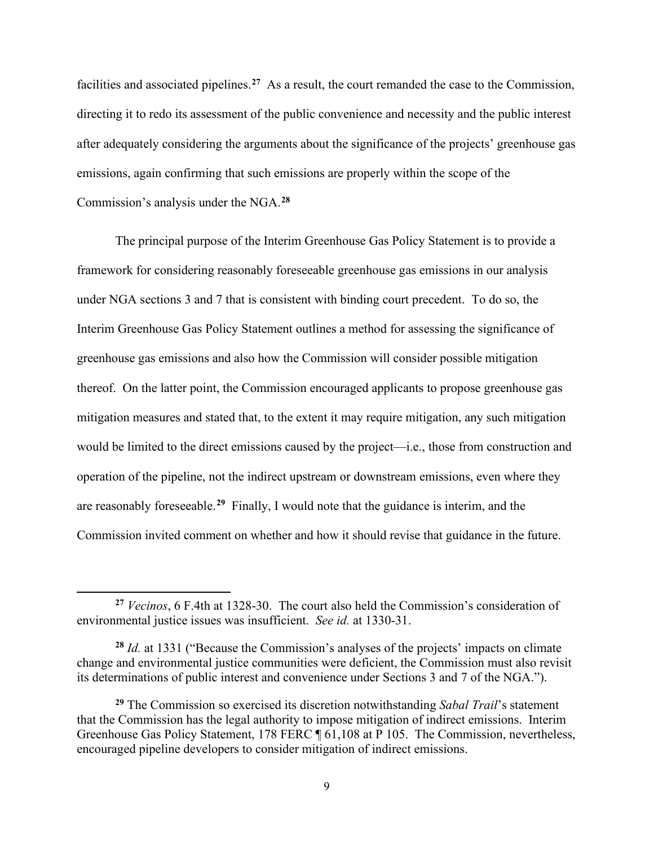facilities and associated pipelines. **[27](#page-8-0)** As a result, the court remanded the case to the Commission, directing it to redo its assessment of the public convenience and necessity and the public interest after adequately considering the arguments about the significance of the projects' greenhouse gas emissions, again confirming that such emissions are properly within the scope of the Commission's analysis under the NGA. **[28](#page-8-1)**

The principal purpose of the Interim Greenhouse Gas Policy Statement is to provide a framework for considering reasonably foreseeable greenhouse gas emissions in our analysis under NGA sections 3 and 7 that is consistent with binding court precedent. To do so, the Interim Greenhouse Gas Policy Statement outlines a method for assessing the significance of greenhouse gas emissions and also how the Commission will consider possible mitigation thereof. On the latter point, the Commission encouraged applicants to propose greenhouse gas mitigation measures and stated that, to the extent it may require mitigation, any such mitigation would be limited to the direct emissions caused by the project—i.e., those from construction and operation of the pipeline, not the indirect upstream or downstream emissions, even where they are reasonably foreseeable.**[29](#page-8-2)** Finally, I would note that the guidance is interim, and the Commission invited comment on whether and how it should revise that guidance in the future.

<span id="page-8-0"></span>**<sup>27</sup>** *Vecinos*, 6 F.4th at 1328-30. The court also held the Commission's consideration of environmental justice issues was insufficient. *See id.* at 1330-31.

<span id="page-8-1"></span>**<sup>28</sup>** *Id.* at 1331 ("Because the Commission's analyses of the projects' impacts on climate change and environmental justice communities were deficient, the Commission must also revisit its determinations of public interest and convenience under Sections 3 and 7 of the NGA.").

<span id="page-8-2"></span>**<sup>29</sup>** The Commission so exercised its discretion notwithstanding *Sabal Trail*'s statement that the Commission has the legal authority to impose mitigation of indirect emissions. Interim Greenhouse Gas Policy Statement, 178 FERC ¶ 61,108 at P 105.The Commission, nevertheless, encouraged pipeline developers to consider mitigation of indirect emissions.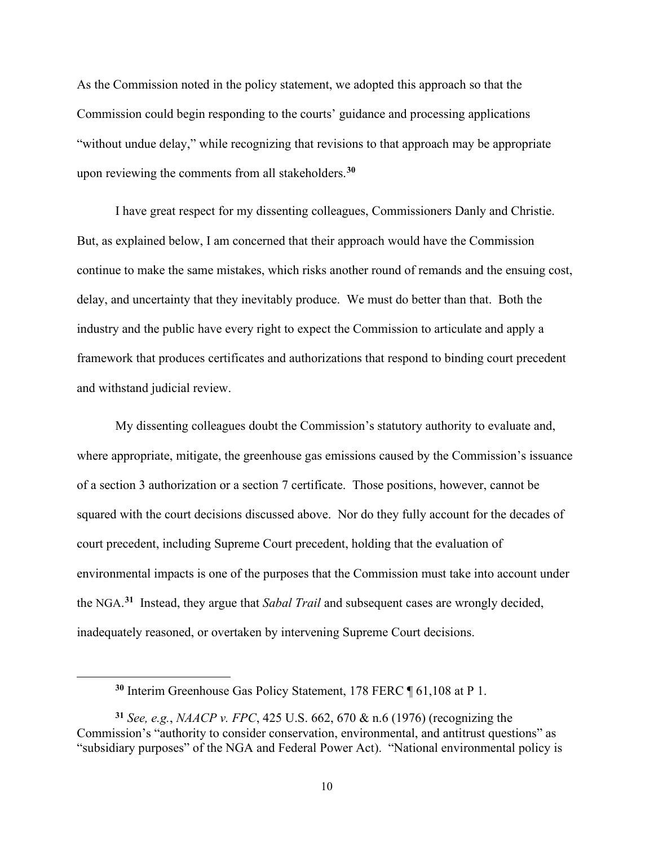As the Commission noted in the policy statement, we adopted this approach so that the Commission could begin responding to the courts' guidance and processing applications "without undue delay," while recognizing that revisions to that approach may be appropriate upon reviewing the comments from all stakeholders.**[30](#page-9-0)**

I have great respect for my dissenting colleagues, Commissioners Danly and Christie. But, as explained below, I am concerned that their approach would have the Commission continue to make the same mistakes, which risks another round of remands and the ensuing cost, delay, and uncertainty that they inevitably produce. We must do better than that. Both the industry and the public have every right to expect the Commission to articulate and apply a framework that produces certificates and authorizations that respond to binding court precedent and withstand judicial review.

My dissenting colleagues doubt the Commission's statutory authority to evaluate and, where appropriate, mitigate, the greenhouse gas emissions caused by the Commission's issuance of a section 3 authorization or a section 7 certificate. Those positions, however, cannot be squared with the court decisions discussed above. Nor do they fully account for the decades of court precedent, including Supreme Court precedent, holding that the evaluation of environmental impacts is one of the purposes that the Commission must take into account under the NGA. **[31](#page-9-1)** Instead, they argue that *Sabal Trail* and subsequent cases are wrongly decided, inadequately reasoned, or overtaken by intervening Supreme Court decisions.

**<sup>30</sup>** Interim Greenhouse Gas Policy Statement, 178 FERC ¶ 61,108 at P 1.

<span id="page-9-1"></span><span id="page-9-0"></span>**<sup>31</sup>** *See, e.g.*, *NAACP v. FPC*, 425 U.S. 662, 670 & n.6 (1976) (recognizing the Commission's "authority to consider conservation, environmental, and antitrust questions" as "subsidiary purposes" of the NGA and Federal Power Act). "National environmental policy is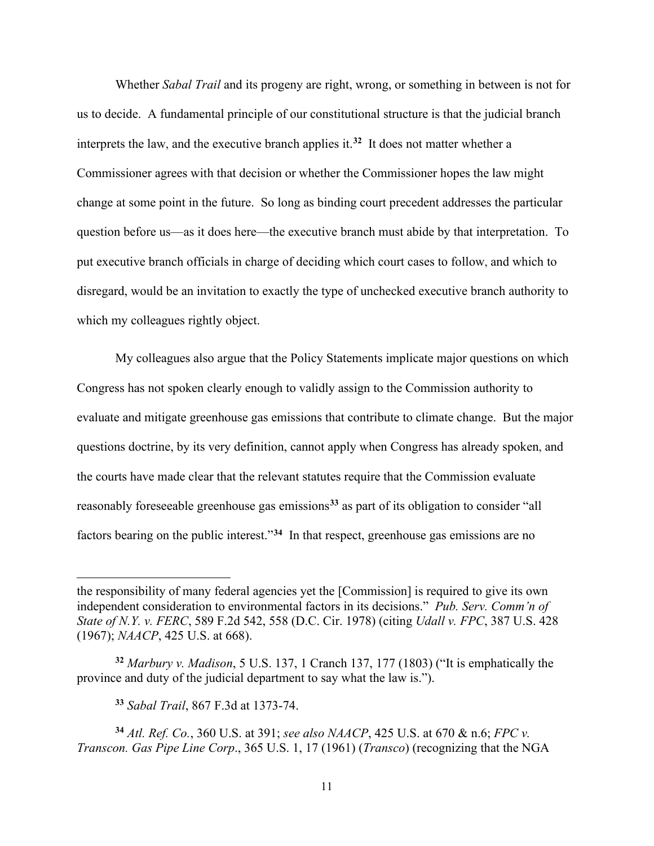Whether *Sabal Trail* and its progeny are right, wrong, or something in between is not for us to decide. A fundamental principle of our constitutional structure is that the judicial branch interprets the law, and the executive branch applies it.**[32](#page-10-0)** It does not matter whether a Commissioner agrees with that decision or whether the Commissioner hopes the law might change at some point in the future. So long as binding court precedent addresses the particular question before us—as it does here—the executive branch must abide by that interpretation. To put executive branch officials in charge of deciding which court cases to follow, and which to disregard, would be an invitation to exactly the type of unchecked executive branch authority to which my colleagues rightly object.

My colleagues also argue that the Policy Statements implicate major questions on which Congress has not spoken clearly enough to validly assign to the Commission authority to evaluate and mitigate greenhouse gas emissions that contribute to climate change. But the major questions doctrine, by its very definition, cannot apply when Congress has already spoken, and the courts have made clear that the relevant statutes require that the Commission evaluate reasonably foreseeable greenhouse gas emissions**[33](#page-10-1)** as part of its obligation to consider "all factors bearing on the public interest."**[34](#page-10-2)** In that respect, greenhouse gas emissions are no

**<sup>33</sup>** *Sabal Trail*, 867 F.3d at 1373-74.

the responsibility of many federal agencies yet the [Commission] is required to give its own independent consideration to environmental factors in its decisions." *Pub. Serv. Comm'n of State of N.Y. v. FERC*, 589 F.2d 542, 558 (D.C. Cir. 1978) (citing *Udall v. FPC*, 387 U.S. 428 (1967); *NAACP*, 425 U.S. at 668).

<span id="page-10-0"></span>**<sup>32</sup>** *Marbury v. Madison*, 5 U.S. 137, 1 Cranch 137, 177 (1803) ("It is emphatically the province and duty of the judicial department to say what the law is.").

<span id="page-10-2"></span><span id="page-10-1"></span>**<sup>34</sup>** *Atl. Ref. Co.*, 360 U.S. at 391; *see also NAACP*, 425 U.S. at 670 & n.6; *FPC v. Transcon. Gas Pipe Line Corp*., 365 U.S. 1, 17 (1961) (*Transco*) (recognizing that the NGA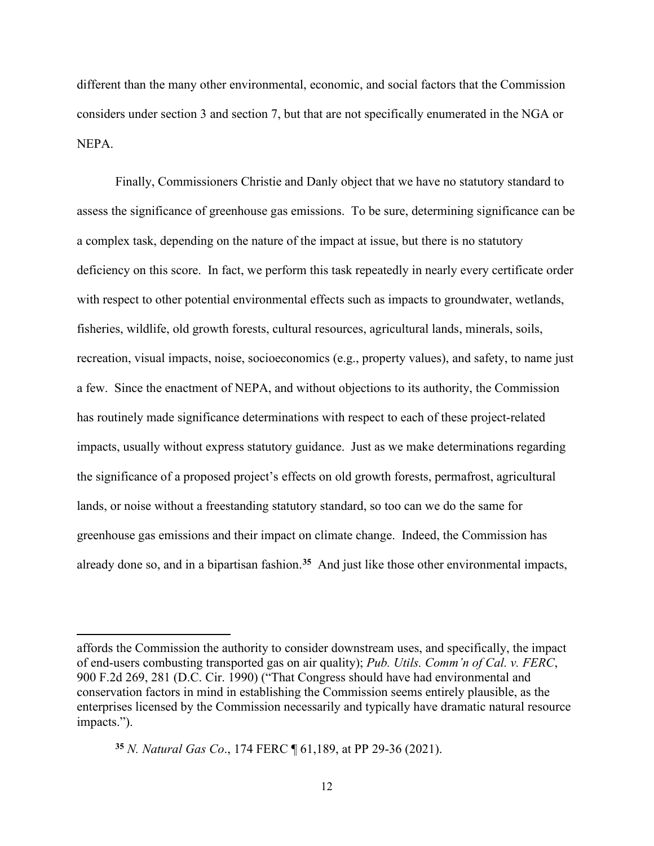different than the many other environmental, economic, and social factors that the Commission considers under section 3 and section 7, but that are not specifically enumerated in the NGA or NEPA.

Finally, Commissioners Christie and Danly object that we have no statutory standard to assess the significance of greenhouse gas emissions. To be sure, determining significance can be a complex task, depending on the nature of the impact at issue, but there is no statutory deficiency on this score. In fact, we perform this task repeatedly in nearly every certificate order with respect to other potential environmental effects such as impacts to groundwater, wetlands, fisheries, wildlife, old growth forests, cultural resources, agricultural lands, minerals, soils, recreation, visual impacts, noise, socioeconomics (e.g., property values), and safety, to name just a few. Since the enactment of NEPA, and without objections to its authority, the Commission has routinely made significance determinations with respect to each of these project-related impacts, usually without express statutory guidance. Just as we make determinations regarding the significance of a proposed project's effects on old growth forests, permafrost, agricultural lands, or noise without a freestanding statutory standard, so too can we do the same for greenhouse gas emissions and their impact on climate change. Indeed, the Commission has already done so, and in a bipartisan fashion.**[35](#page-11-0)** And just like those other environmental impacts,

affords the Commission the authority to consider downstream uses, and specifically, the impact of end-users combusting transported gas on air quality); *Pub. Utils. Comm'n of Cal. v. FERC*, 900 F.2d 269, 281 (D.C. Cir. 1990) ("That Congress should have had environmental and conservation factors in mind in establishing the Commission seems entirely plausible, as the enterprises licensed by the Commission necessarily and typically have dramatic natural resource impacts.").

<span id="page-11-0"></span>**<sup>35</sup>** *N. Natural Gas Co*., 174 FERC ¶ 61,189, at PP 29-36 (2021).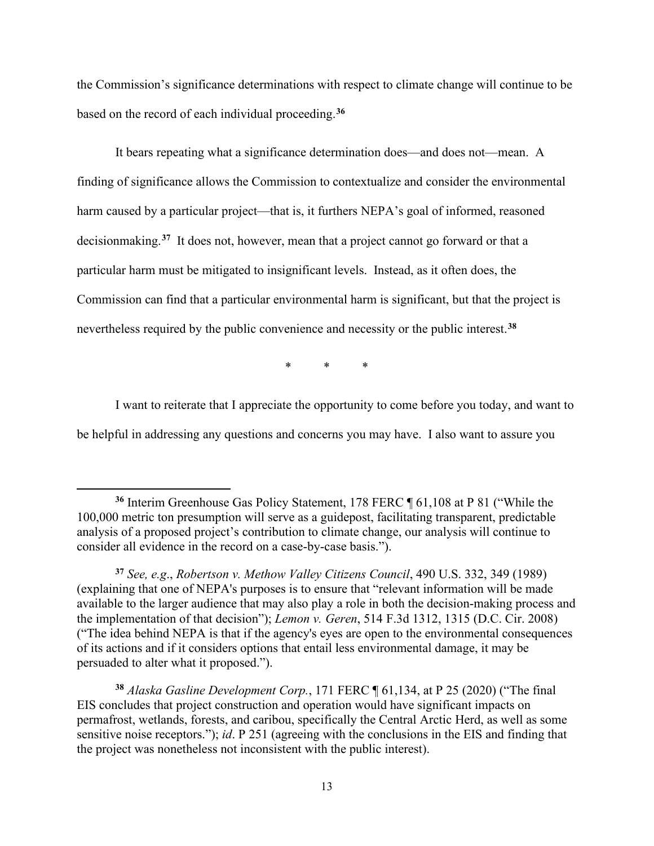the Commission's significance determinations with respect to climate change will continue to be based on the record of each individual proceeding.**[36](#page-12-0)**

It bears repeating what a significance determination does—and does not—mean. A finding of significance allows the Commission to contextualize and consider the environmental harm caused by a particular project—that is, it furthers NEPA's goal of informed, reasoned decisionmaking. **[37](#page-12-1)** It does not, however, mean that a project cannot go forward or that a particular harm must be mitigated to insignificant levels. Instead, as it often does, the Commission can find that a particular environmental harm is significant, but that the project is nevertheless required by the public convenience and necessity or the public interest.**[38](#page-12-2)**

\* \* \*

I want to reiterate that I appreciate the opportunity to come before you today, and want to be helpful in addressing any questions and concerns you may have. I also want to assure you

<span id="page-12-0"></span>**<sup>36</sup>** Interim Greenhouse Gas Policy Statement, 178 FERC ¶ 61,108 at P 81 ("While the 100,000 metric ton presumption will serve as a guidepost, facilitating transparent, predictable analysis of a proposed project's contribution to climate change, our analysis will continue to consider all evidence in the record on a case-by-case basis.").

<span id="page-12-1"></span>**<sup>37</sup>** *See, e.g*., *Robertson v. Methow Valley Citizens Council*, 490 U.S. 332, 349 (1989) (explaining that one of NEPA's purposes is to ensure that "relevant information will be made available to the larger audience that may also play a role in both the decision-making process and the implementation of that decision"); *Lemon v. Geren*, 514 F.3d 1312, 1315 (D.C. Cir. 2008) ("The idea behind NEPA is that if the agency's eyes are open to the environmental consequences of its actions and if it considers options that entail less environmental damage, it may be persuaded to alter what it proposed.").

<span id="page-12-2"></span>**<sup>38</sup>** *Alaska Gasline Development Corp.*, 171 FERC ¶ 61,134, at P 25 (2020) ("The final EIS concludes that project construction and operation would have significant impacts on permafrost, wetlands, forests, and caribou, specifically the Central Arctic Herd, as well as some sensitive noise receptors."); *id*. P 251 (agreeing with the conclusions in the EIS and finding that the project was nonetheless not inconsistent with the public interest).